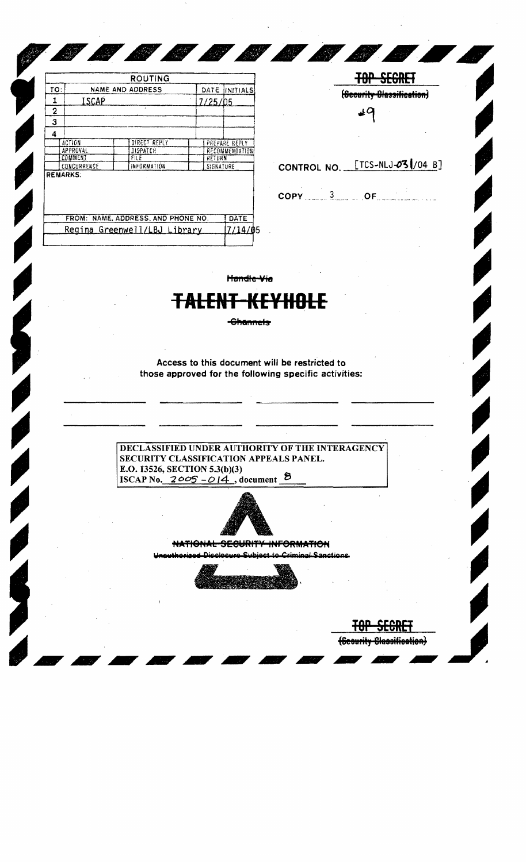|                 |                         | <b>ROUTING</b>                     |           |                |  |
|-----------------|-------------------------|------------------------------------|-----------|----------------|--|
| TO:             | <b>NAME AND ADDRESS</b> |                                    | DATE      | INITIALS!      |  |
| 1               | ISCAP                   |                                    | 7/25/05   |                |  |
| $\mathbf 2$     |                         |                                    |           |                |  |
| 3               |                         |                                    |           |                |  |
| 4               |                         |                                    |           |                |  |
| <b>ACTION</b>   |                         | DIRECT REPLY                       |           | PREPARE REPLY  |  |
|                 | APPROVAL                | DISPATCH                           |           | RECOMMENDATION |  |
|                 | COMMENT                 | FILE                               | RETURN    |                |  |
|                 | CONCURRENCE             | INFORMATION                        | SIGNATURE |                |  |
| <b>REMARKS:</b> |                         |                                    |           |                |  |
|                 |                         | FROM: NAME, ADDRESS, AND PHONE NO. |           | DATE           |  |
|                 |                         | Regina Greenwell/LBJ Library       |           | /14/0.         |  |

**SANT** 

**State of the State of the State of the State of the State of the State of the State of the State of the State** 

**STATISTICS** 

| <del>btull –</del><br>(Security Blassification) |                                                     |  |  |  |  |  |  |
|-------------------------------------------------|-----------------------------------------------------|--|--|--|--|--|--|
|                                                 | CONTROL NO. [TCS-NLJ-03 /04 B]                      |  |  |  |  |  |  |
|                                                 | $\overline{\text{COPY}}$ $3$ $\overline{\text{OF}}$ |  |  |  |  |  |  |
|                                                 |                                                     |  |  |  |  |  |  |

Handle Via

## **TALENT-KEYHOLE**

-Channels

Access to this document will be restricted to those approved for the following specific activities:

DECLASSIFIED UNDER AUTHORITY OF THE INTERAGENCY SECURITY CLASSIFICATION APPEALS PANEL. E.O. 13526, SECTION 5.3(b)(3) ISCAP No.  $2005 - 014$ , document  $8$ 



NATIONAL SECURITY INFORMATION

iminal Sanctions

E BRE (Scourity Classification)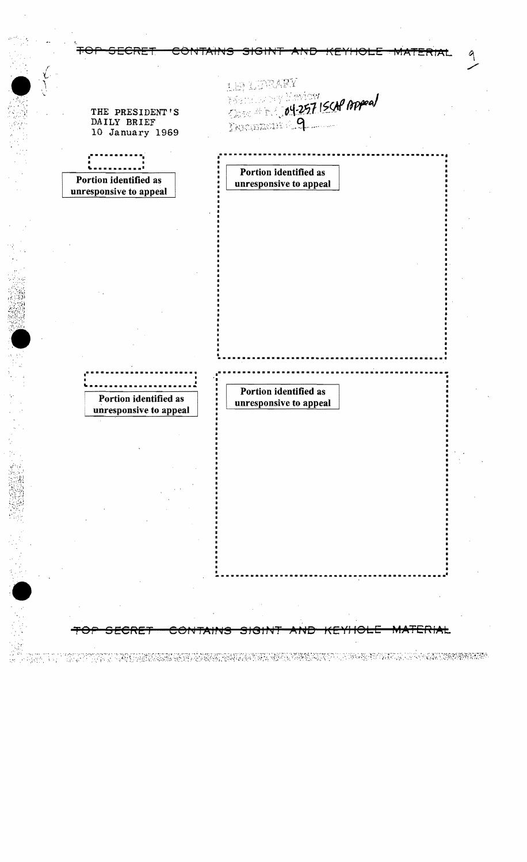| ╇<br>MATERIA                                      |                                                 |  |  |  |
|---------------------------------------------------|-------------------------------------------------|--|--|--|
| THE PRESIDENT'S<br>DAILY BRIEF<br>10 January 1969 | LE LEBARY<br>Essex and 19757 ISCAP Appeal       |  |  |  |
| Portion identified as<br>unresponsive to appeal   | Portion identified as<br>unresponsive to appeal |  |  |  |
|                                                   |                                                 |  |  |  |
|                                                   |                                                 |  |  |  |
|                                                   |                                                 |  |  |  |
|                                                   |                                                 |  |  |  |
|                                                   |                                                 |  |  |  |
| Portion identified as<br>unresponsive to appeal   | Portion identified as<br>unresponsive to appeal |  |  |  |
|                                                   |                                                 |  |  |  |
|                                                   |                                                 |  |  |  |
|                                                   |                                                 |  |  |  |
|                                                   |                                                 |  |  |  |
|                                                   |                                                 |  |  |  |
|                                                   |                                                 |  |  |  |

 $\frac{1}{2}$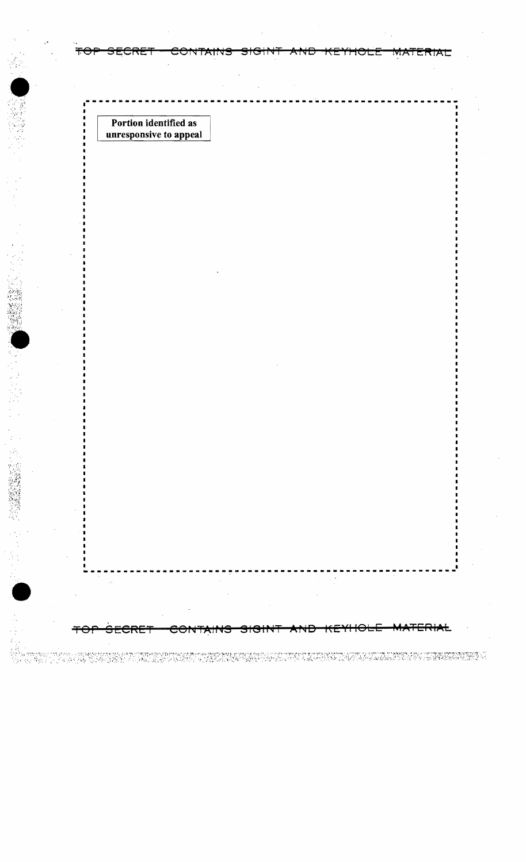Portion identified as unresponsive to appeal

<del>unit d</del>

• ---------------------------------------------------------

TOP SECRET CONTAINS SIGINT AND KEYHOLE MATERIAL

e ministration en de la production de la companya de la production de la production de la production de la pro<br>La production de la production de la production de la production de la production de la production de la produc

**--------------------------\_.\_---------------------------**

राम्रा

MATER

•

**1. 经管理管理**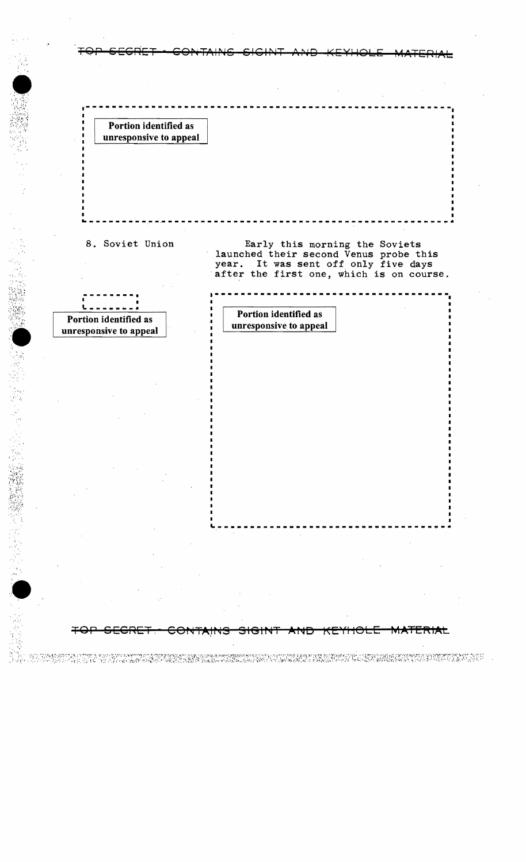Portion identified as unresponsive to appeal

unresponsive to appeal

, .

SS)

8. Soviet Union **Early this morning the Soviets** launched their second Venus probe this year. It was sent off only five days after the first one, which is on course.

~---------------------------------~-

CONTAINS SIGINT AND KEYHOLE MATERIAL

ET RETERIT IN TOPEN ET KOMPORTER FREKKET EN EN ENDANGERE IN HANDELFANKER BERACHTEN NEDERLANGERE EN FREKKET KEN<br>DE GROEP DE HET ET LOOP DE RADOREN MEDRANK BEAR KEAL ANDART PLANGERE EN ANDER DE BRAND BAARDEN EN FREKKET LAND

## **----\_.--. a------------------------------------** • • **.. \_----\_ ..** Portion identified as Portion identified as<br>
numeron contract to appeal and the contract of the contract of the contract of the contract of the contract of the contract of the contract of the contract of the contract of the contract of the cont

**--------------------------------------------------------**

~-------------------------------------------------------

TOP SEGRET GONTAINS SIGINT AND KEYHOLE MATERIAL